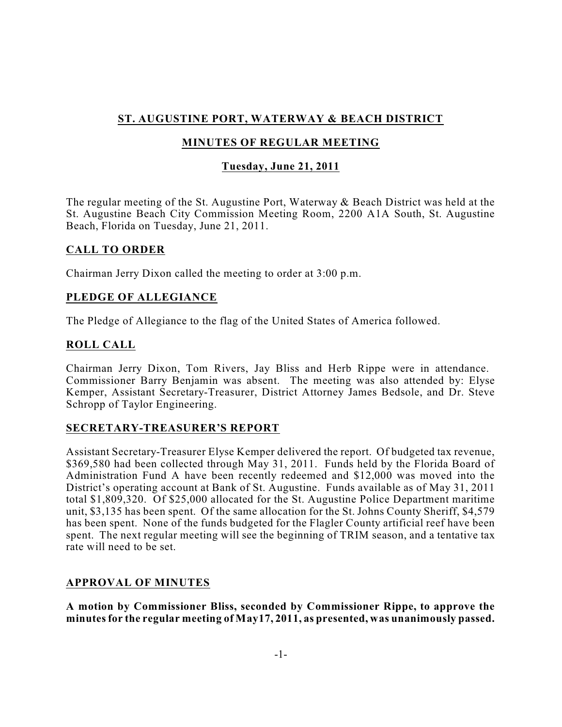# **ST. AUGUSTINE PORT, WATERWAY & BEACH DISTRICT**

# **MINUTES OF REGULAR MEETING**

# **Tuesday, June 21, 2011**

The regular meeting of the St. Augustine Port, Waterway & Beach District was held at the St. Augustine Beach City Commission Meeting Room, 2200 A1A South, St. Augustine Beach, Florida on Tuesday, June 21, 2011.

# **CALL TO ORDER**

Chairman Jerry Dixon called the meeting to order at 3:00 p.m.

# **PLEDGE OF ALLEGIANCE**

The Pledge of Allegiance to the flag of the United States of America followed.

# **ROLL CALL**

Chairman Jerry Dixon, Tom Rivers, Jay Bliss and Herb Rippe were in attendance. Commissioner Barry Benjamin was absent. The meeting was also attended by: Elyse Kemper, Assistant Secretary-Treasurer, District Attorney James Bedsole, and Dr. Steve Schropp of Taylor Engineering.

# **SECRETARY-TREASURER'S REPORT**

Assistant Secretary-Treasurer Elyse Kemper delivered the report. Of budgeted tax revenue, \$369,580 had been collected through May 31, 2011. Funds held by the Florida Board of Administration Fund A have been recently redeemed and \$12,000 was moved into the District's operating account at Bank of St. Augustine. Funds available as of May 31, 2011 total \$1,809,320. Of \$25,000 allocated for the St. Augustine Police Department maritime unit, \$3,135 has been spent. Of the same allocation for the St. Johns County Sheriff, \$4,579 has been spent. None of the funds budgeted for the Flagler County artificial reef have been spent. The next regular meeting will see the beginning of TRIM season, and a tentative tax rate will need to be set.

# **APPROVAL OF MINUTES**

**A motion by Commissioner Bliss, seconded by Commissioner Rippe, to approve the minutesfor the regular meeting of May17, 2011, as presented, was unanimously passed.**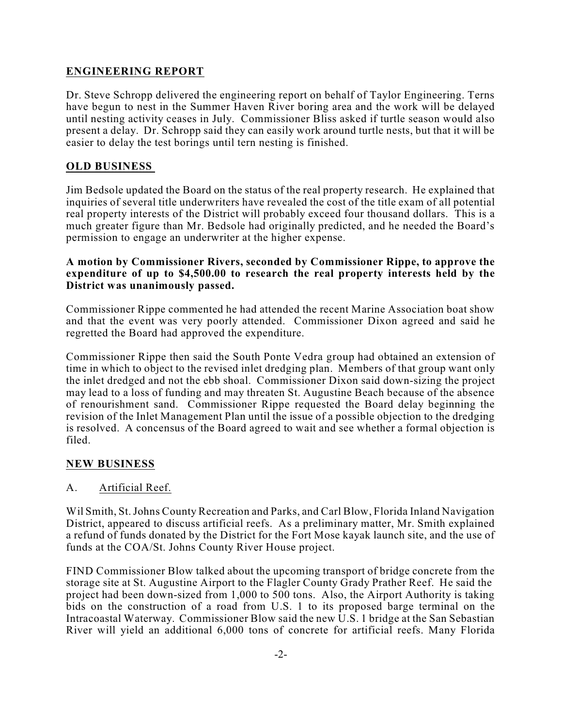# **ENGINEERING REPORT**

Dr. Steve Schropp delivered the engineering report on behalf of Taylor Engineering. Terns have begun to nest in the Summer Haven River boring area and the work will be delayed until nesting activity ceases in July. Commissioner Bliss asked if turtle season would also present a delay. Dr. Schropp said they can easily work around turtle nests, but that it will be easier to delay the test borings until tern nesting is finished.

# **OLD BUSINESS**

Jim Bedsole updated the Board on the status of the real property research. He explained that inquiries of several title underwriters have revealed the cost of the title exam of all potential real property interests of the District will probably exceed four thousand dollars. This is a much greater figure than Mr. Bedsole had originally predicted, and he needed the Board's permission to engage an underwriter at the higher expense.

#### **A motion by Commissioner Rivers, seconded by Commissioner Rippe, to approve the expenditure of up to \$4,500.00 to research the real property interests held by the District was unanimously passed.**

Commissioner Rippe commented he had attended the recent Marine Association boat show and that the event was very poorly attended. Commissioner Dixon agreed and said he regretted the Board had approved the expenditure.

Commissioner Rippe then said the South Ponte Vedra group had obtained an extension of time in which to object to the revised inlet dredging plan. Members of that group want only the inlet dredged and not the ebb shoal. Commissioner Dixon said down-sizing the project may lead to a loss of funding and may threaten St. Augustine Beach because of the absence of renourishment sand. Commissioner Rippe requested the Board delay beginning the revision of the Inlet Management Plan until the issue of a possible objection to the dredging is resolved. A concensus of the Board agreed to wait and see whether a formal objection is filed.

# **NEW BUSINESS**

# A. Artificial Reef.

Wil Smith, St.Johns County Recreation and Parks, and Carl Blow, Florida Inland Navigation District, appeared to discuss artificial reefs. As a preliminary matter, Mr. Smith explained a refund of funds donated by the District for the Fort Mose kayak launch site, and the use of funds at the COA/St. Johns County River House project.

FIND Commissioner Blow talked about the upcoming transport of bridge concrete from the storage site at St. Augustine Airport to the Flagler County Grady Prather Reef. He said the project had been down-sized from 1,000 to 500 tons. Also, the Airport Authority is taking bids on the construction of a road from U.S. 1 to its proposed barge terminal on the Intracoastal Waterway. Commissioner Blow said the new U.S. 1 bridge at the San Sebastian River will yield an additional 6,000 tons of concrete for artificial reefs. Many Florida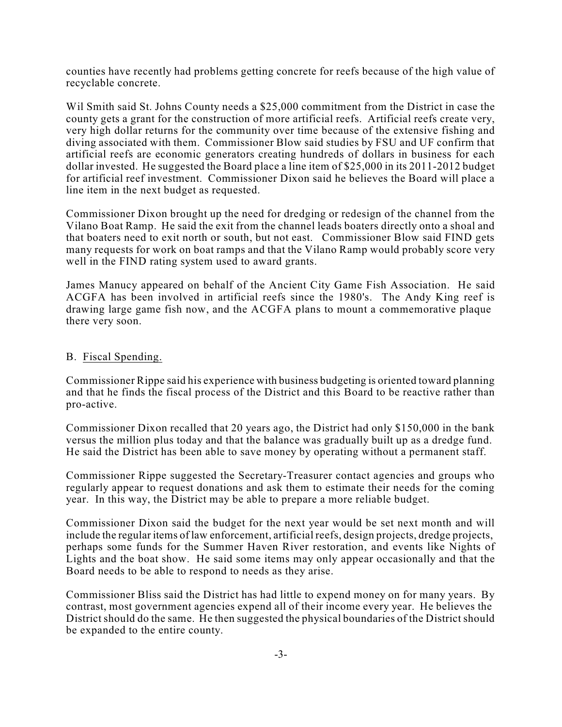counties have recently had problems getting concrete for reefs because of the high value of recyclable concrete.

Wil Smith said St. Johns County needs a \$25,000 commitment from the District in case the county gets a grant for the construction of more artificial reefs. Artificial reefs create very, very high dollar returns for the community over time because of the extensive fishing and diving associated with them. Commissioner Blow said studies by FSU and UF confirm that artificial reefs are economic generators creating hundreds of dollars in business for each dollar invested. He suggested the Board place a line item of \$25,000 in its 2011-2012 budget for artificial reef investment. Commissioner Dixon said he believes the Board will place a line item in the next budget as requested.

Commissioner Dixon brought up the need for dredging or redesign of the channel from the Vilano Boat Ramp. He said the exit from the channel leads boaters directly onto a shoal and that boaters need to exit north or south, but not east. Commissioner Blow said FIND gets many requests for work on boat ramps and that the Vilano Ramp would probably score very well in the FIND rating system used to award grants.

James Manucy appeared on behalf of the Ancient City Game Fish Association. He said ACGFA has been involved in artificial reefs since the 1980's. The Andy King reef is drawing large game fish now, and the ACGFA plans to mount a commemorative plaque there very soon.

#### B. Fiscal Spending.

Commissioner Rippe said his experience with business budgeting is oriented toward planning and that he finds the fiscal process of the District and this Board to be reactive rather than pro-active.

Commissioner Dixon recalled that 20 years ago, the District had only \$150,000 in the bank versus the million plus today and that the balance was gradually built up as a dredge fund. He said the District has been able to save money by operating without a permanent staff.

Commissioner Rippe suggested the Secretary-Treasurer contact agencies and groups who regularly appear to request donations and ask them to estimate their needs for the coming year. In this way, the District may be able to prepare a more reliable budget.

Commissioner Dixon said the budget for the next year would be set next month and will include the regular items of law enforcement, artificial reefs, design projects, dredge projects, perhaps some funds for the Summer Haven River restoration, and events like Nights of Lights and the boat show. He said some items may only appear occasionally and that the Board needs to be able to respond to needs as they arise.

Commissioner Bliss said the District has had little to expend money on for many years. By contrast, most government agencies expend all of their income every year. He believes the District should do the same. He then suggested the physical boundaries of the District should be expanded to the entire county.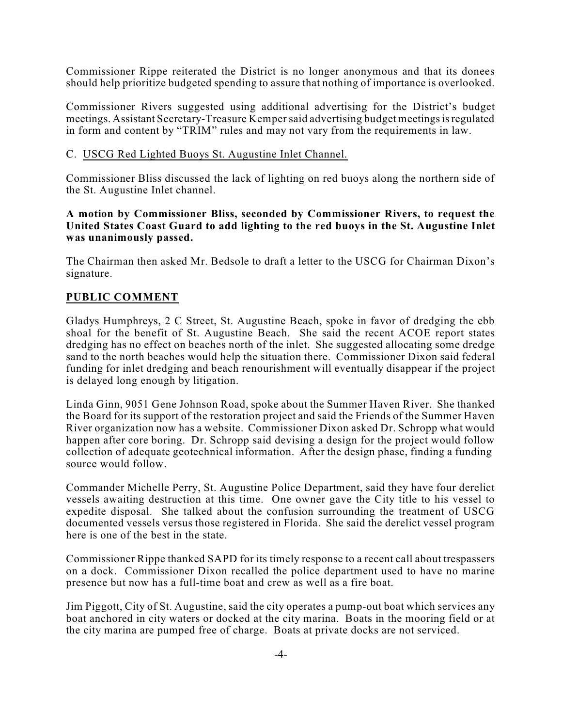Commissioner Rippe reiterated the District is no longer anonymous and that its donees should help prioritize budgeted spending to assure that nothing of importance is overlooked.

Commissioner Rivers suggested using additional advertising for the District's budget meetings. Assistant Secretary-Treasure Kemper said advertising budget meetings is regulated in form and content by "TRIM" rules and may not vary from the requirements in law.

#### C. USCG Red Lighted Buoys St. Augustine Inlet Channel.

Commissioner Bliss discussed the lack of lighting on red buoys along the northern side of the St. Augustine Inlet channel.

#### **A motion by Commissioner Bliss, seconded by Commissioner Rivers, to request the United States Coast Guard to add lighting to the red buoys in the St. Augustine Inlet was unanimously passed.**

The Chairman then asked Mr. Bedsole to draft a letter to the USCG for Chairman Dixon's signature.

### **PUBLIC COMMENT**

Gladys Humphreys, 2 C Street, St. Augustine Beach, spoke in favor of dredging the ebb shoal for the benefit of St. Augustine Beach. She said the recent ACOE report states dredging has no effect on beaches north of the inlet. She suggested allocating some dredge sand to the north beaches would help the situation there. Commissioner Dixon said federal funding for inlet dredging and beach renourishment will eventually disappear if the project is delayed long enough by litigation.

Linda Ginn, 9051 Gene Johnson Road, spoke about the Summer Haven River. She thanked the Board for its support of the restoration project and said the Friends of the Summer Haven River organization now has a website. Commissioner Dixon asked Dr. Schropp what would happen after core boring. Dr. Schropp said devising a design for the project would follow collection of adequate geotechnical information. After the design phase, finding a funding source would follow.

Commander Michelle Perry, St. Augustine Police Department, said they have four derelict vessels awaiting destruction at this time. One owner gave the City title to his vessel to expedite disposal. She talked about the confusion surrounding the treatment of USCG documented vessels versus those registered in Florida. She said the derelict vessel program here is one of the best in the state.

Commissioner Rippe thanked SAPD for its timely response to a recent call about trespassers on a dock. Commissioner Dixon recalled the police department used to have no marine presence but now has a full-time boat and crew as well as a fire boat.

Jim Piggott, City of St. Augustine, said the city operates a pump-out boat which services any boat anchored in city waters or docked at the city marina. Boats in the mooring field or at the city marina are pumped free of charge. Boats at private docks are not serviced.